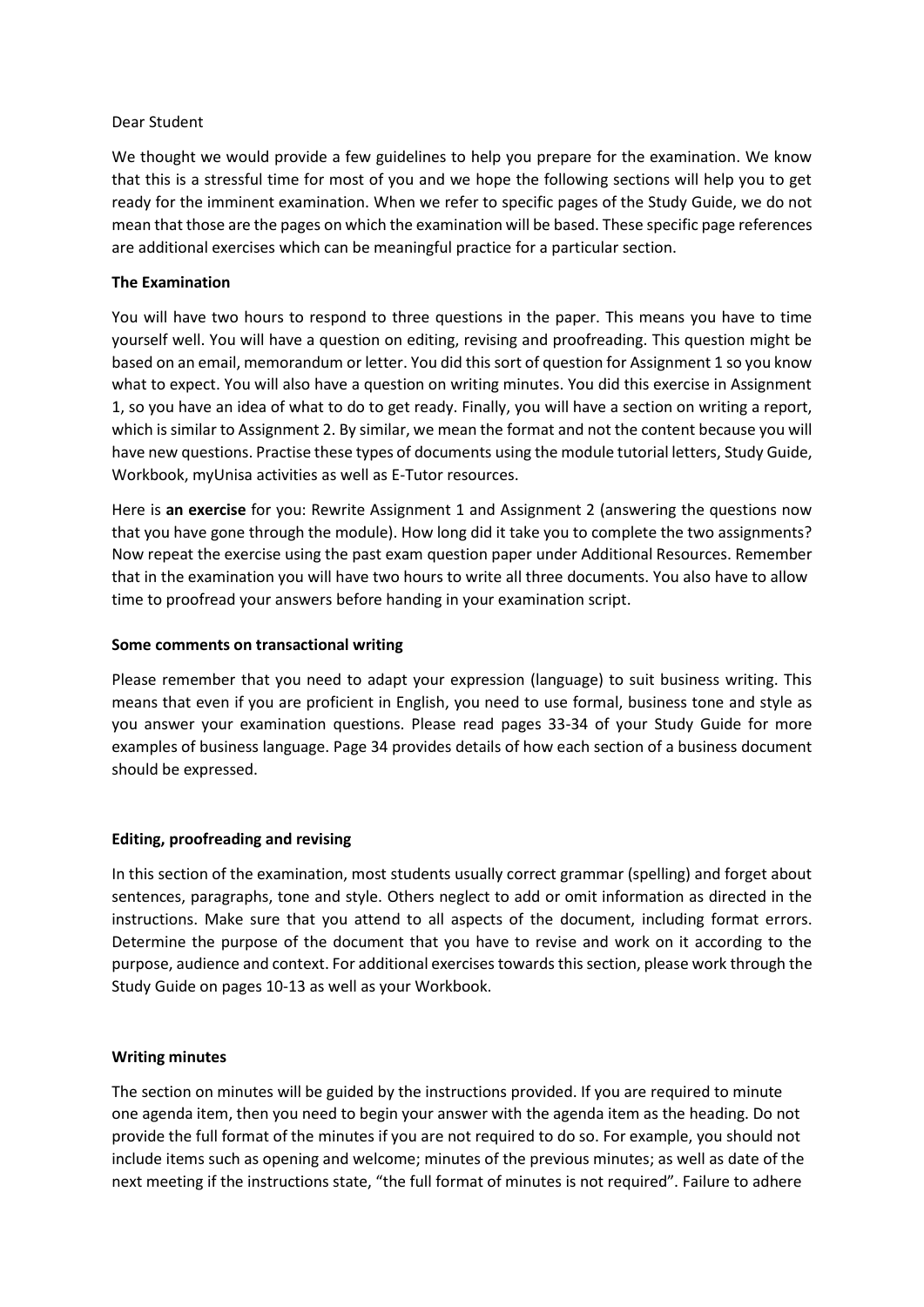### Dear Student

We thought we would provide a few guidelines to help you prepare for the examination. We know that this is a stressful time for most of you and we hope the following sections will help you to get ready for the imminent examination. When we refer to specific pages of the Study Guide, we do not mean that those are the pages on which the examination will be based. These specific page references are additional exercises which can be meaningful practice for a particular section.

## **The Examination**

You will have two hours to respond to three questions in the paper. This means you have to time yourself well. You will have a question on editing, revising and proofreading. This question might be based on an email, memorandum or letter. You did this sort of question for Assignment 1 so you know what to expect. You will also have a question on writing minutes. You did this exercise in Assignment 1, so you have an idea of what to do to get ready. Finally, you will have a section on writing a report, which is similar to Assignment 2. By similar, we mean the format and not the content because you will have new questions. Practise these types of documents using the module tutorial letters, Study Guide, Workbook, myUnisa activities as well as E-Tutor resources.

Here is **an exercise** for you: Rewrite Assignment 1 and Assignment 2 (answering the questions now that you have gone through the module). How long did it take you to complete the two assignments? Now repeat the exercise using the past exam question paper under Additional Resources. Remember that in the examination you will have two hours to write all three documents. You also have to allow time to proofread your answers before handing in your examination script.

### **Some comments on transactional writing**

Please remember that you need to adapt your expression (language) to suit business writing. This means that even if you are proficient in English, you need to use formal, business tone and style as you answer your examination questions. Please read pages 33-34 of your Study Guide for more examples of business language. Page 34 provides details of how each section of a business document should be expressed.

# **Editing, proofreading and revising**

In this section of the examination, most students usually correct grammar (spelling) and forget about sentences, paragraphs, tone and style. Others neglect to add or omit information as directed in the instructions. Make sure that you attend to all aspects of the document, including format errors. Determine the purpose of the document that you have to revise and work on it according to the purpose, audience and context. For additional exercises towards this section, please work through the Study Guide on pages 10-13 as well as your Workbook.

### **Writing minutes**

The section on minutes will be guided by the instructions provided. If you are required to minute one agenda item, then you need to begin your answer with the agenda item as the heading. Do not provide the full format of the minutes if you are not required to do so. For example, you should not include items such as opening and welcome; minutes of the previous minutes; as well as date of the next meeting if the instructions state, "the full format of minutes is not required". Failure to adhere